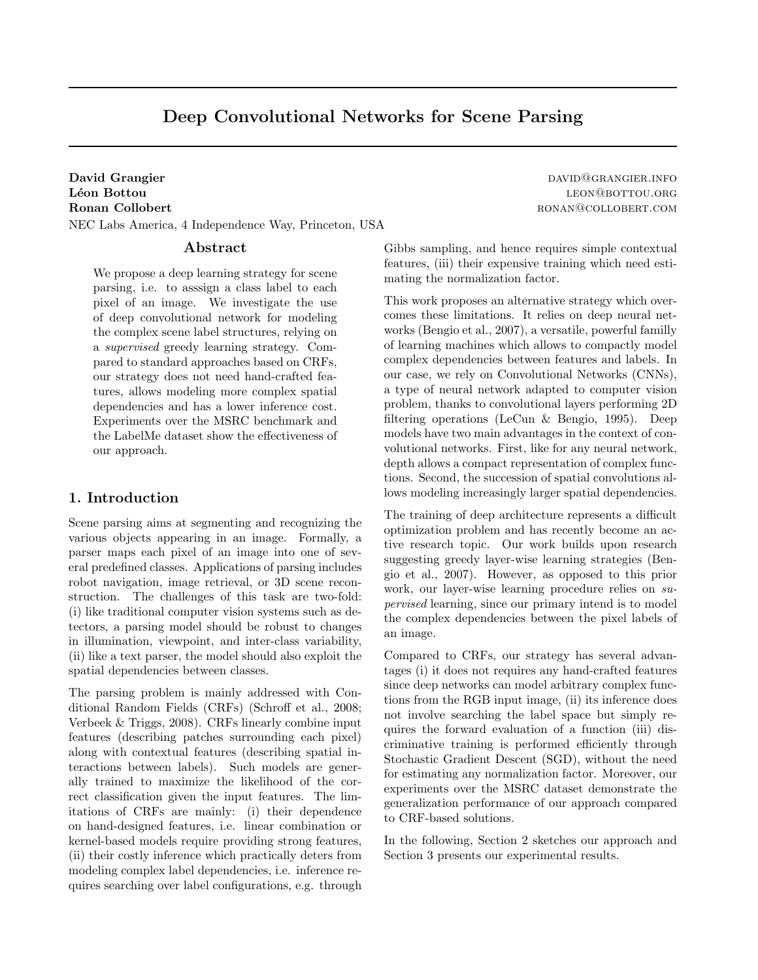# Deep Convolutional Networks for Scene Parsing

NEC Labs America, 4 Independence Way, Princeton, USA

## Abstract

We propose a deep learning strategy for scene parsing, i.e. to asssign a class label to each pixel of an image. We investigate the use of deep convolutional network for modeling the complex scene label structures, relying on a supervised greedy learning strategy. Compared to standard approaches based on CRFs, our strategy does not need hand-crafted features, allows modeling more complex spatial dependencies and has a lower inference cost. Experiments over the MSRC benchmark and the LabelMe dataset show the effectiveness of our approach.

## 1. Introduction

Scene parsing aims at segmenting and recognizing the various objects appearing in an image. Formally, a parser maps each pixel of an image into one of several predefined classes. Applications of parsing includes robot navigation, image retrieval, or 3D scene reconstruction. The challenges of this task are two-fold: (i) like traditional computer vision systems such as detectors, a parsing model should be robust to changes in illumination, viewpoint, and inter-class variability, (ii) like a text parser, the model should also exploit the spatial dependencies between classes.

The parsing problem is mainly addressed with Conditional Random Fields (CRFs) (Schroff et al., 2008; Verbeek & Triggs, 2008). CRFs linearly combine input features (describing patches surrounding each pixel) along with contextual features (describing spatial interactions between labels). Such models are generally trained to maximize the likelihood of the correct classification given the input features. The limitations of CRFs are mainly: (i) their dependence on hand-designed features, i.e. linear combination or kernel-based models require providing strong features, (ii) their costly inference which practically deters from modeling complex label dependencies, i.e. inference requires searching over label configurations, e.g. through

David Grangier david Grangier david Grangier david Grangier. The contract of the contract of the contract of the contract of the contract of the contract of the contract of the contract of the contract of the contract of t Léon Bottou leon and the contract of the contract of the contract of the contract of the contract of the contract of the contract of the contract of the contract of the contract of the contract of the contract of the contr Ronan Collobert **RONAN COLLOBERT.COM** 

> Gibbs sampling, and hence requires simple contextual features, (iii) their expensive training which need estimating the normalization factor.

> This work proposes an alternative strategy which overcomes these limitations. It relies on deep neural networks (Bengio et al., 2007), a versatile, powerful familly of learning machines which allows to compactly model complex dependencies between features and labels. In our case, we rely on Convolutional Networks (CNNs), a type of neural network adapted to computer vision problem, thanks to convolutional layers performing 2D filtering operations (LeCun & Bengio, 1995). Deep models have two main advantages in the context of convolutional networks. First, like for any neural network, depth allows a compact representation of complex functions. Second, the succession of spatial convolutions allows modeling increasingly larger spatial dependencies.

> The training of deep architecture represents a difficult optimization problem and has recently become an active research topic. Our work builds upon research suggesting greedy layer-wise learning strategies (Bengio et al., 2007). However, as opposed to this prior work, our layer-wise learning procedure relies on supervised learning, since our primary intend is to model the complex dependencies between the pixel labels of an image.

> Compared to CRFs, our strategy has several advantages (i) it does not requires any hand-crafted features since deep networks can model arbitrary complex functions from the RGB input image, (ii) its inference does not involve searching the label space but simply requires the forward evaluation of a function (iii) discriminative training is performed efficiently through Stochastic Gradient Descent (SGD), without the need for estimating any normalization factor. Moreover, our experiments over the MSRC dataset demonstrate the generalization performance of our approach compared to CRF-based solutions.

> In the following, Section 2 sketches our approach and Section 3 presents our experimental results.